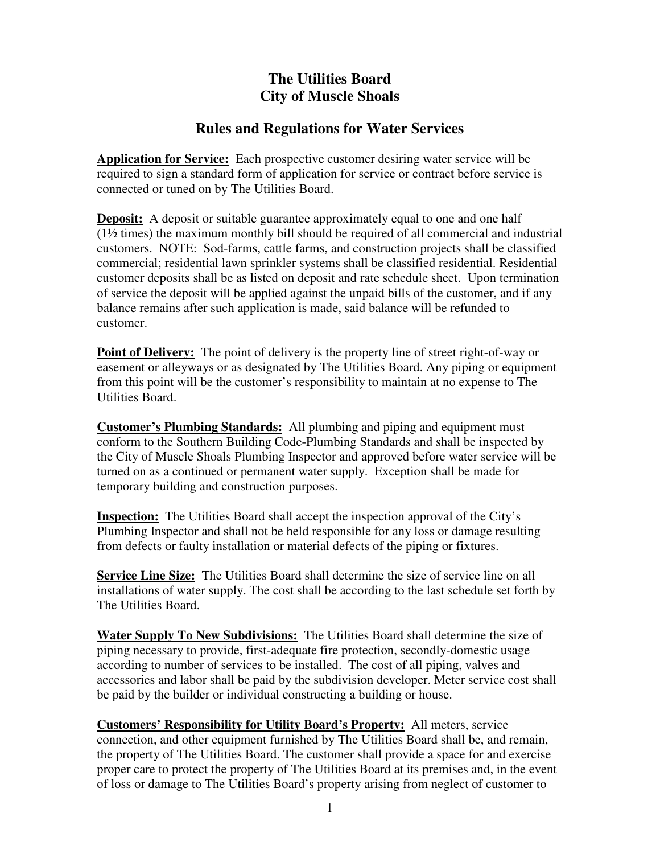## **The Utilities Board City of Muscle Shoals**

## **Rules and Regulations for Water Services**

**Application for Service:** Each prospective customer desiring water service will be required to sign a standard form of application for service or contract before service is connected or tuned on by The Utilities Board.

**Deposit:** A deposit or suitable guarantee approximately equal to one and one half (1½ times) the maximum monthly bill should be required of all commercial and industrial customers. NOTE: Sod-farms, cattle farms, and construction projects shall be classified commercial; residential lawn sprinkler systems shall be classified residential. Residential customer deposits shall be as listed on deposit and rate schedule sheet. Upon termination of service the deposit will be applied against the unpaid bills of the customer, and if any balance remains after such application is made, said balance will be refunded to customer.

**Point of Delivery:** The point of delivery is the property line of street right-of-way or easement or alleyways or as designated by The Utilities Board. Any piping or equipment from this point will be the customer's responsibility to maintain at no expense to The Utilities Board.

**Customer's Plumbing Standards:** All plumbing and piping and equipment must conform to the Southern Building Code-Plumbing Standards and shall be inspected by the City of Muscle Shoals Plumbing Inspector and approved before water service will be turned on as a continued or permanent water supply. Exception shall be made for temporary building and construction purposes.

**Inspection:** The Utilities Board shall accept the inspection approval of the City's Plumbing Inspector and shall not be held responsible for any loss or damage resulting from defects or faulty installation or material defects of the piping or fixtures.

**Service Line Size:** The Utilities Board shall determine the size of service line on all installations of water supply. The cost shall be according to the last schedule set forth by The Utilities Board.

**Water Supply To New Subdivisions:** The Utilities Board shall determine the size of piping necessary to provide, first-adequate fire protection, secondly-domestic usage according to number of services to be installed. The cost of all piping, valves and accessories and labor shall be paid by the subdivision developer. Meter service cost shall be paid by the builder or individual constructing a building or house.

**Customers' Responsibility for Utility Board's Property:** All meters, service connection, and other equipment furnished by The Utilities Board shall be, and remain, the property of The Utilities Board. The customer shall provide a space for and exercise proper care to protect the property of The Utilities Board at its premises and, in the event of loss or damage to The Utilities Board's property arising from neglect of customer to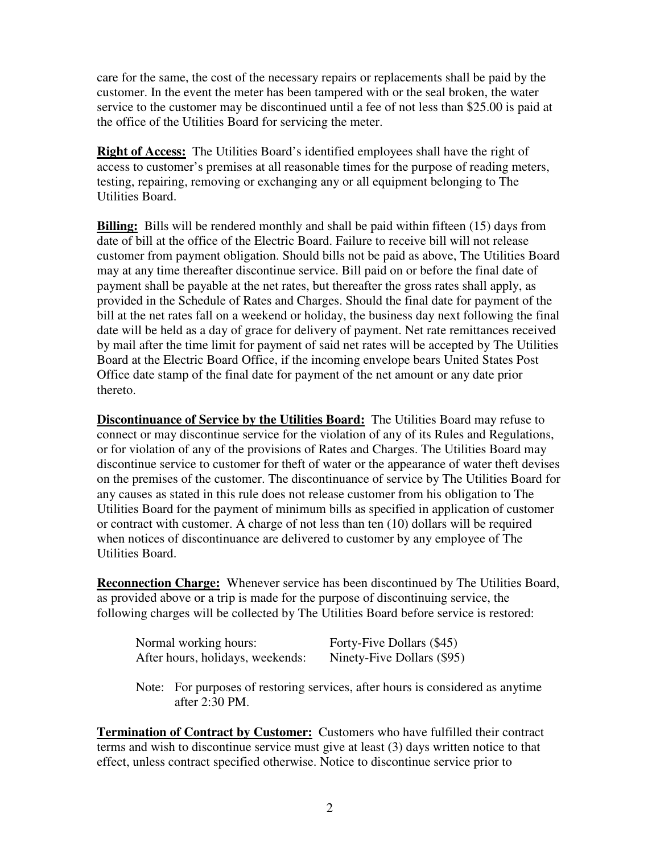care for the same, the cost of the necessary repairs or replacements shall be paid by the customer. In the event the meter has been tampered with or the seal broken, the water service to the customer may be discontinued until a fee of not less than \$25.00 is paid at the office of the Utilities Board for servicing the meter.

**Right of Access:** The Utilities Board's identified employees shall have the right of access to customer's premises at all reasonable times for the purpose of reading meters, testing, repairing, removing or exchanging any or all equipment belonging to The Utilities Board.

**Billing:** Bills will be rendered monthly and shall be paid within fifteen (15) days from date of bill at the office of the Electric Board. Failure to receive bill will not release customer from payment obligation. Should bills not be paid as above, The Utilities Board may at any time thereafter discontinue service. Bill paid on or before the final date of payment shall be payable at the net rates, but thereafter the gross rates shall apply, as provided in the Schedule of Rates and Charges. Should the final date for payment of the bill at the net rates fall on a weekend or holiday, the business day next following the final date will be held as a day of grace for delivery of payment. Net rate remittances received by mail after the time limit for payment of said net rates will be accepted by The Utilities Board at the Electric Board Office, if the incoming envelope bears United States Post Office date stamp of the final date for payment of the net amount or any date prior thereto.

**Discontinuance of Service by the Utilities Board:** The Utilities Board may refuse to connect or may discontinue service for the violation of any of its Rules and Regulations, or for violation of any of the provisions of Rates and Charges. The Utilities Board may discontinue service to customer for theft of water or the appearance of water theft devises on the premises of the customer. The discontinuance of service by The Utilities Board for any causes as stated in this rule does not release customer from his obligation to The Utilities Board for the payment of minimum bills as specified in application of customer or contract with customer. A charge of not less than ten (10) dollars will be required when notices of discontinuance are delivered to customer by any employee of The Utilities Board.

**Reconnection Charge:** Whenever service has been discontinued by The Utilities Board, as provided above or a trip is made for the purpose of discontinuing service, the following charges will be collected by The Utilities Board before service is restored:

| Normal working hours:            | Forty-Five Dollars (\$45)  |
|----------------------------------|----------------------------|
| After hours, holidays, weekends: | Ninety-Five Dollars (\$95) |

Note: For purposes of restoring services, after hours is considered as anytime after 2:30 PM.

**Termination of Contract by Customer:** Customers who have fulfilled their contract terms and wish to discontinue service must give at least (3) days written notice to that effect, unless contract specified otherwise. Notice to discontinue service prior to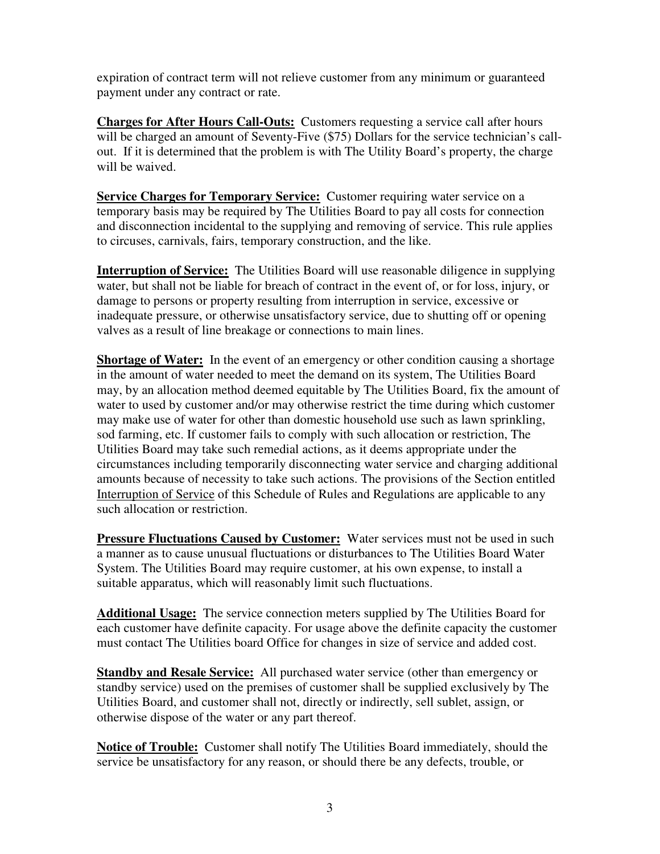expiration of contract term will not relieve customer from any minimum or guaranteed payment under any contract or rate.

**Charges for After Hours Call-Outs:** Customers requesting a service call after hours will be charged an amount of Seventy-Five (\$75) Dollars for the service technician's callout. If it is determined that the problem is with The Utility Board's property, the charge will be waived.

**Service Charges for Temporary Service:** Customer requiring water service on a temporary basis may be required by The Utilities Board to pay all costs for connection and disconnection incidental to the supplying and removing of service. This rule applies to circuses, carnivals, fairs, temporary construction, and the like.

**Interruption of Service:** The Utilities Board will use reasonable diligence in supplying water, but shall not be liable for breach of contract in the event of, or for loss, injury, or damage to persons or property resulting from interruption in service, excessive or inadequate pressure, or otherwise unsatisfactory service, due to shutting off or opening valves as a result of line breakage or connections to main lines.

**Shortage of Water:** In the event of an emergency or other condition causing a shortage in the amount of water needed to meet the demand on its system, The Utilities Board may, by an allocation method deemed equitable by The Utilities Board, fix the amount of water to used by customer and/or may otherwise restrict the time during which customer may make use of water for other than domestic household use such as lawn sprinkling, sod farming, etc. If customer fails to comply with such allocation or restriction, The Utilities Board may take such remedial actions, as it deems appropriate under the circumstances including temporarily disconnecting water service and charging additional amounts because of necessity to take such actions. The provisions of the Section entitled Interruption of Service of this Schedule of Rules and Regulations are applicable to any such allocation or restriction.

**Pressure Fluctuations Caused by Customer:** Water services must not be used in such a manner as to cause unusual fluctuations or disturbances to The Utilities Board Water System. The Utilities Board may require customer, at his own expense, to install a suitable apparatus, which will reasonably limit such fluctuations.

**Additional Usage:** The service connection meters supplied by The Utilities Board for each customer have definite capacity. For usage above the definite capacity the customer must contact The Utilities board Office for changes in size of service and added cost.

**Standby and Resale Service:** All purchased water service (other than emergency or standby service) used on the premises of customer shall be supplied exclusively by The Utilities Board, and customer shall not, directly or indirectly, sell sublet, assign, or otherwise dispose of the water or any part thereof.

**Notice of Trouble:** Customer shall notify The Utilities Board immediately, should the service be unsatisfactory for any reason, or should there be any defects, trouble, or